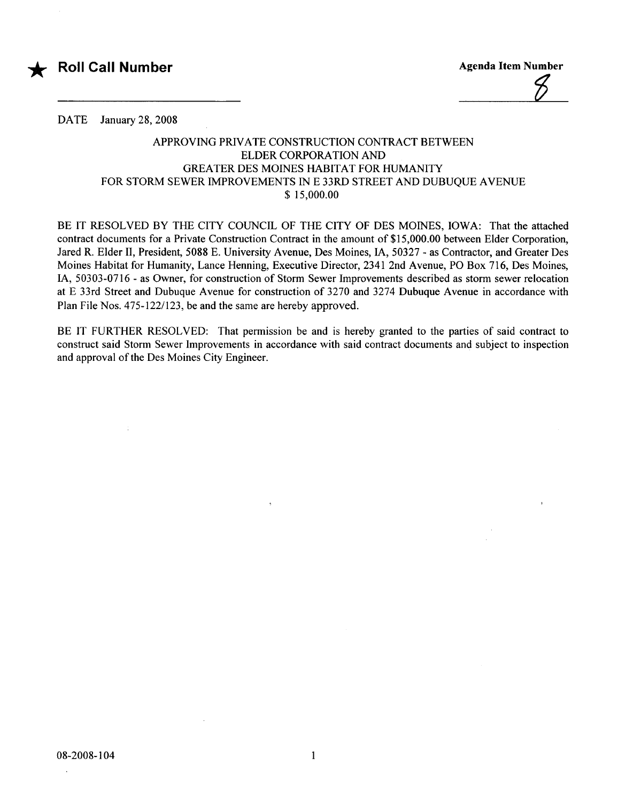



DATE January 28, 2008

 $\mathcal{L}$ 

## APPROVING PRIVATE CONSTRUCTION CONTRACT BETWEEN ELDER CORPORATION AND GREATER DES MOINES HABITAT FOR HUMANITY FOR STORM SEWER IMPROVEMENTS IN E 33RD STREET AND DUBUQUE AVENUE \$ 15,000.00

BE IT RESOLVED BY THE CITY COUNCIL OF THE CITY OF DES MOINES, IOWA: That the attached contract documents for a Private Construction Contract in the amount of \$15,000.00 between Elder Corporation, Jared R. Elder II, President, 5088 E. University Avenue, Des Moines, lA, 50327 - as Contractor, and Greater Des Moines Habitat for Humanity, Lance Henning, Executive Director, 2341 2nd Avenue, PO Box 716, Des Moines, lA, 50303-0716 - as Owner, for construction of Storm Sewer Improvements described as storm sewer relocation at E 33rd Street and Dubuque Avenue for construction of 3270 and 3274 Dubuque Avenue in accordance with Plan File Nos. 475-122/123, be and the same are hereby approved.

BE IT FURTHER RESOLVED: That permission be and is hereby granted to the parties of said contract to construct said Storm Sewer Improvements in accordance with said contract documents and subject to inspection and approval of the Des Moines City Engineer.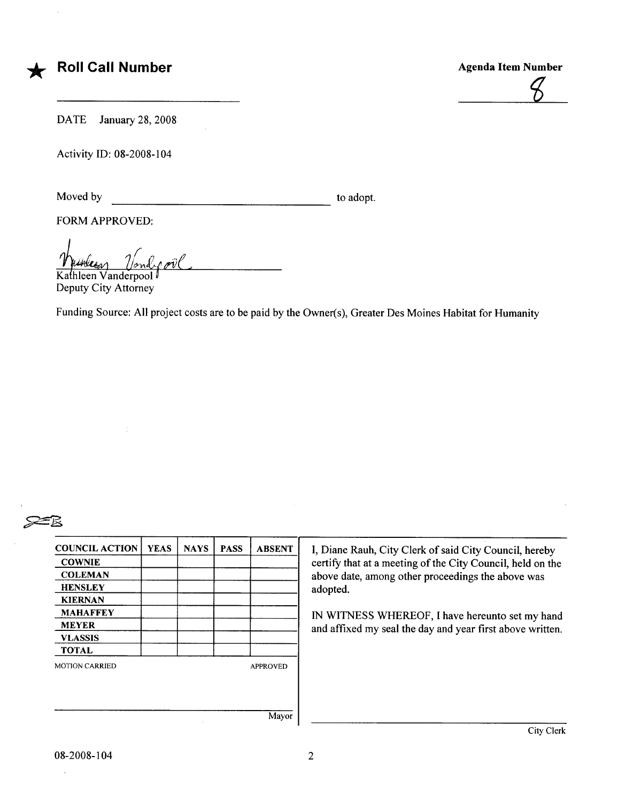

DATE January 28, 2008

Activity ID: 08-2008-104

Moved by to adopt.

FORM APPROVED:

<u>Wurkeen</u> Vander over

Deputy City Attorney

Funding Source: All project costs are to be paid by the Owner(s), Greater Des Moines Habitat for Humanity



| <b>COUNCIL ACTION</b> | <b>YEAS</b> | <b>NAYS</b> | <b>PASS</b> | <b>ABSENT</b>              | I, Diane             |  |
|-----------------------|-------------|-------------|-------------|----------------------------|----------------------|--|
| <b>COWNIE</b>         |             |             | certify tl  |                            |                      |  |
| <b>COLEMAN</b>        |             |             |             |                            | above da<br>adopted. |  |
| <b>HENSLEY</b>        |             |             |             |                            |                      |  |
| <b>KIERNAN</b>        |             |             |             |                            |                      |  |
| <b>MAHAFFEY</b>       |             |             |             |                            |                      |  |
| <b>MEYER</b>          |             |             |             | <b>IN WIT</b><br>and affix |                      |  |
| <b>VLASSIS</b>        |             |             |             |                            |                      |  |
| <b>TOTAL</b>          |             |             |             |                            |                      |  |
| <b>MOTION CARRIED</b> |             |             |             | <b>APPROVED</b>            |                      |  |
|                       |             |             |             |                            |                      |  |
|                       |             |             |             |                            |                      |  |
|                       |             |             |             |                            |                      |  |
|                       |             |             |             | Mayor                      |                      |  |

Diane Rauh, City Clerk of said City Council, hereby ertify that at a meeting of the City Council, held on the bove date, among other proceedings the above was

WITNESS WHEREOF, I have hereunto set my hand nd affixed my seal the day and year first above written.

 $\ddot{\phantom{a}}$ 

City Clerk